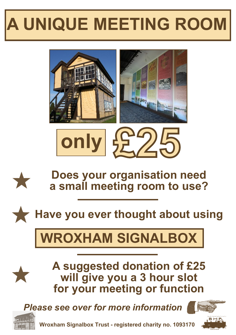## **A UNIQUE MEETING ROOM**







**Does your organisation need a small meeting room to use?**

**Have you ever thought about using**

## **WROXHAM SIGNALBOX**

**A suggested donation of £25 will give you a 3 hour slot for your meeting or function**

*Please see over for more information*





**Wroxham Signalbox Trust - registered charity no. 1093170**